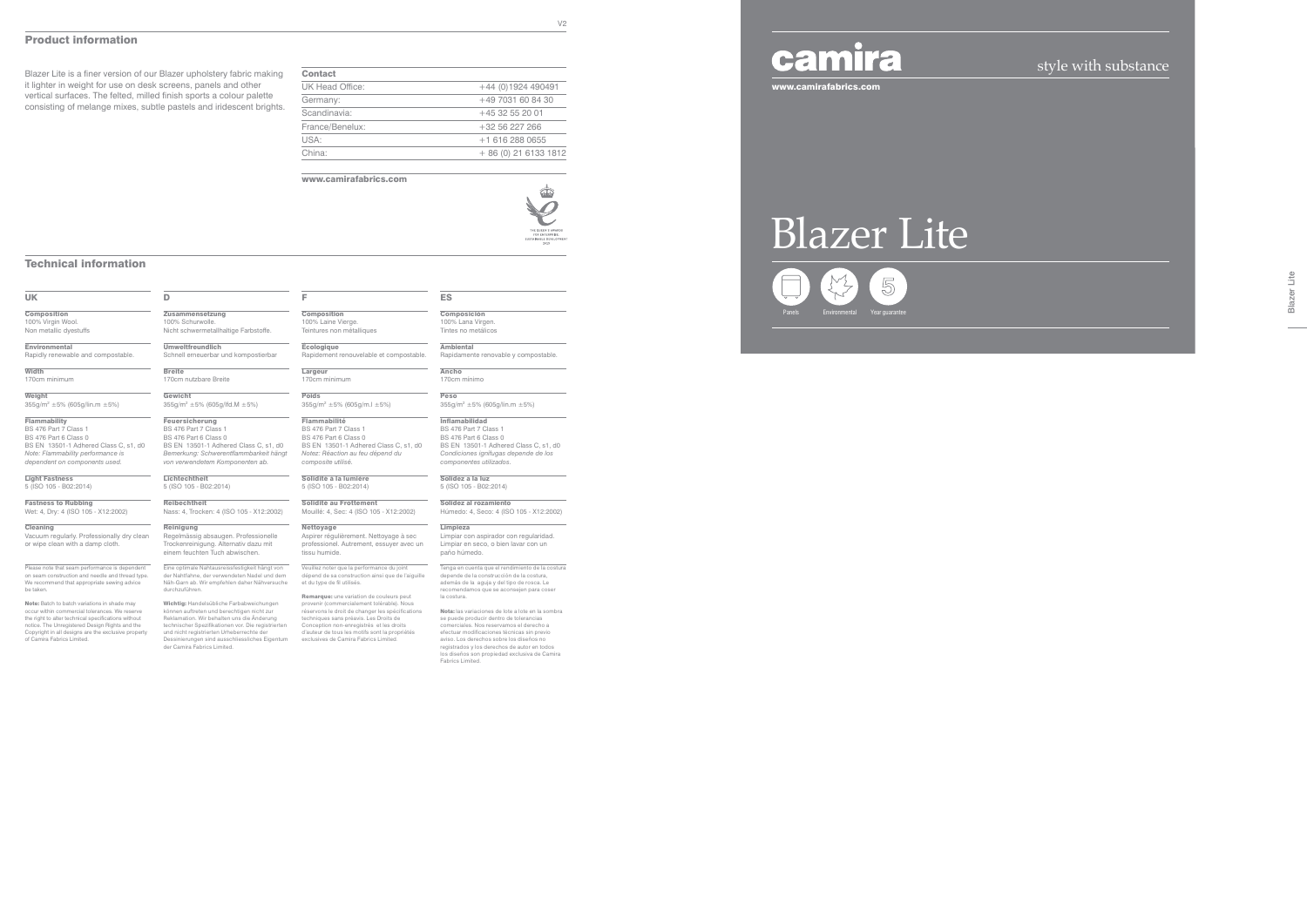### Technical information

### UK

**Composition** 100% Virgin Wool. Non metallic dyestuffs

**Environmental** 

355g/m2 ±5% (605g/lin.m ±5%) **Flammability** 

Rapidly renewable and compostable.

Width

170cm minimum Weight

**Cleaning** Vacuum regularly. Professionally dry clean or wipe clean with a damp cloth.

BS 476 Part 7 Class 1 BS 476 Part 6 Class 0 BS EN 13501-1 Adhered Class C, s1, d0 *Note: Flammability performance is dependent on components used.*

Note: Batch to batch variations in shade may occur within commercial tolerances. We reserve the right to alter technical specifications without notice. The Unregistered Design Rights and the Copyright in all designs are the exclusive property of Camira Fabrics Limited.

Light Fastness 5 (ISO 105 - B02:2014)

**Fastness to Rubbing**<br>Wet: 4, Dry: 4 (ISO 105 - X12:2002)

 $\overline{D}$ **Zusammensetzung** 100% Schurwolle. Nicht schwermetallhaltige Farbstoffe.

Please note that seam performance is dependent on seam construction and needle and thread type. We recommend that appropriate sewing advice be taken.

**Composition** 100% Laine Vierge. Teintures non métalliques

Umweltfreundlich Schnell erneuerbar und kompostierbar

Breite

170cm nutzbare Breite Gewicht

355g/m2 ±5% (605g/lfd.M ±5%) Feuersicherung

BS 476 Part 7 Class 1 BS 476 Part 6 Class 0 BS EN 13501-1 Adhered Class C, s1, d0 *Bemerkung: Schwerentflammbarkeit hängt von verwendetem Komponenten ab.* Lichtechtheit

> Veuillez noter que la performance du joint dépend de sa construction ainsi que de l de la performance de joint<br>onstruction ainsi que de l'aiguille et du type de fil utilisés.

5 (ISO 105 - B02:2014)

Reibechtheit Nass: 4, Trocken: 4 (ISO 105 - X12:2002)

> **Remarque:** une variation de couleurs peut<br>provenir (commercialement tolérable). Nous<br>réservons le droit de changer les spécifications techniques sans préavis. Les Droits de Conception non-enregistrés et les droits d'auteur de tous les motifs sont la propriétés exclusives de Camira Fabrics Limited.

Composición 100% Lana Virgen. Tintes no metálicos **Ambiental** 

Reinigung Regelmässig absaugen. Professionelle Trockenreinigung. Alternativ dazu mit einem feuchten Tuch abwischen.

Eine optimale Nahtausreissfestigkeit hängt von der Nahtfahne, der verwendeten Nadel und dem Näh-Garn ab. Wir empfehlen daher Nähversuche durchzuführen.

**Limpieza** Limpiar con aspirador con regularidad. Limpiar en seco, o bien lavar con un paño húmedo.

Tenga en cuenta que el rendimiento de la costura depende de la construcción de la costura, además de la aguja y del tipo de rosca. Le recomendamos que se aconsejen para coser la costura.

Wichtig: Handelsübliche Farbabweichungen können auftreten und berechtigen nicht zur Reklamation. Wir behalten uns die Änderung technischer Spezifikationen vor. Die registrierten und nicht registrierten Urheberrechte der Dessinierungen sind ausschliessliches Eigentum der Camira Fabrics Limited.

F

Écologique Rapidement renouvelable et compostable.

Largeur 170cm minimum Poids

355g/m2 ±5% (605g/m.l ±5%) Flammabilité

BS 476 Part 7 Class 1 BS 476 Part 6 Class 0 BS EN 13501-1 Adhered Class C, s1, d0 *Notez: Réaction au feu dépend du composite utilisé.*

Blazer Lite Blazer Lite

Solidité à la lumière 5 (ISO 105 - B02:2014)

Solidité au Frottement Mouillé: 4, Sec: 4 (ISO 105 - X12:2002)

Nettoyage Aspirer régulièrement. Nettoyage à sec professionel. Autrement, essuyer avec un tissu humide.

ES

Rapidamente renovable y compostable.

Ancho 170cm mínimo Peso

355g/m2 ±5% (605g/lin.m ±5%)

Inflamabilidad BS 476 Part 7 Class 1 BS 476 Part 6 Class 0

BS EN 13501-1 Adhered Class C, s1, d0 *Condiciones ignífugas depende de los componentes utilizados.* Solidez a la luz 5 (ISO 105 - B02:2014)

Solidez al rozamiento Húmedo: 4, Seco: 4 (ISO 105 - X12:2002)

Nota: las variaciones de lote a lote en la sombra se puede producir dentro de tolerancias comerciales. Nos reservamos el derecho a efectuar modificaciones técnicas sin previo aviso. Los derechos sobre los diseños no registrados y los derechos de autor en todos los diseños son propiedad exclusiva de Camira Fabrics Limited.

| <b>Contact</b>  |                       |
|-----------------|-----------------------|
| UK Head Office: | $+44$ (0)1924 490491  |
| Germany:        | +49 7031 60 84 30     |
| Scandinavia:    | $+4532552001$         |
| France/Benelux: | +32 56 227 266        |
| USA:            | +1 616 288 0655       |
| China:          | $+86(0)$ 21 6133 1812 |
|                 |                       |

#### www.camirafabrics.com



### Product information

Blazer Lite is a finer version of our Blazer upholstery fabric making it lighter in weight for use on desk screens, panels and other vertical surfaces. The felted, milled finish sports a colour palette consisting of melange mixes, subtle pastels and iridescent brights.

### style with substance

www.camirafabrics.com

# Blazer Lite Panels Environmental Year guarantee

## camira